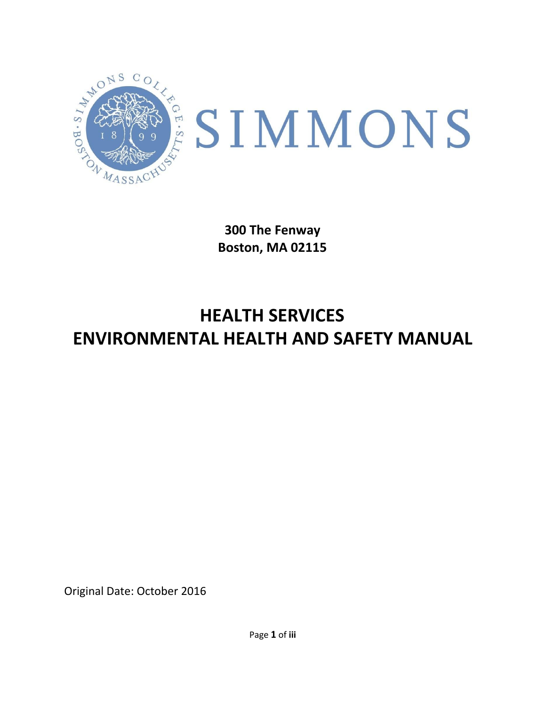

**300 The Fenway Boston, MA 02115**

# **HEALTH SERVICES ENVIRONMENTAL HEALTH AND SAFETY MANUAL**

Original Date: October 2016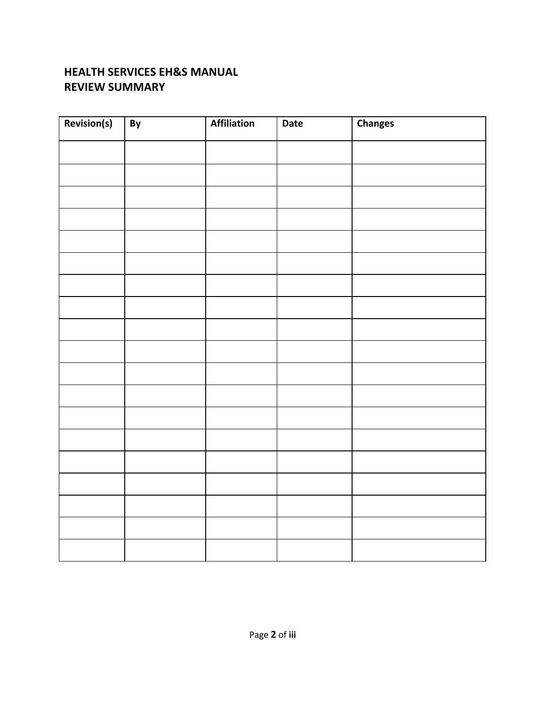### **HEALTH SERVICES EH&S MANUAL REVIEW SUMMARY**

| Revision(s) | By | <b>Affiliation</b> | Date | <b>Changes</b> |
|-------------|----|--------------------|------|----------------|
|             |    |                    |      |                |
|             |    |                    |      |                |
|             |    |                    |      |                |
|             |    |                    |      |                |
|             |    |                    |      |                |
|             |    |                    |      |                |
|             |    |                    |      |                |
|             |    |                    |      |                |
|             |    |                    |      |                |
|             |    |                    |      |                |
|             |    |                    |      |                |
|             |    |                    |      |                |
|             |    |                    |      |                |
|             |    |                    |      |                |
|             |    |                    |      |                |
|             |    |                    |      |                |
|             |    |                    |      |                |
|             |    |                    |      |                |
|             |    |                    |      |                |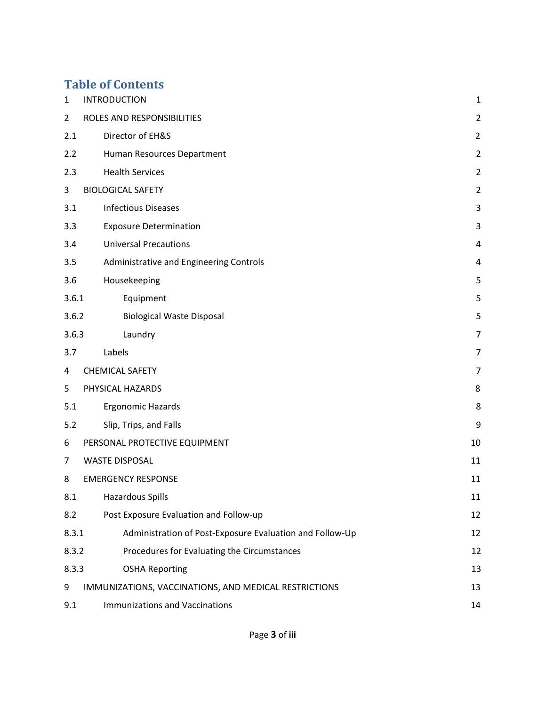# **Table of Contents**

| 1              | <b>INTRODUCTION</b>                                      | 1              |
|----------------|----------------------------------------------------------|----------------|
|                | ROLES AND RESPONSIBILITIES                               |                |
| $\overline{2}$ |                                                          | $\overline{2}$ |
| 2.1            | Director of EH&S                                         | $\overline{2}$ |
| 2.2            | Human Resources Department                               | $\overline{2}$ |
| 2.3            | <b>Health Services</b>                                   | $\overline{2}$ |
| 3              | <b>BIOLOGICAL SAFETY</b>                                 | $\overline{2}$ |
| 3.1            | <b>Infectious Diseases</b>                               | 3              |
| 3.3            | <b>Exposure Determination</b>                            | 3              |
| 3.4            | <b>Universal Precautions</b>                             | 4              |
| 3.5            | Administrative and Engineering Controls                  | 4              |
| 3.6            | Housekeeping                                             | 5              |
| 3.6.1          | Equipment                                                | 5              |
| 3.6.2          | <b>Biological Waste Disposal</b>                         | 5              |
| 3.6.3          | Laundry                                                  | $\overline{7}$ |
| 3.7            | Labels                                                   | 7              |
| 4              | <b>CHEMICAL SAFETY</b>                                   | 7              |
| 5              | PHYSICAL HAZARDS                                         | 8              |
| 5.1            | <b>Ergonomic Hazards</b>                                 | 8              |
| 5.2            | Slip, Trips, and Falls                                   | 9              |
| 6              | PERSONAL PROTECTIVE EQUIPMENT                            | 10             |
| 7              | <b>WASTE DISPOSAL</b>                                    | 11             |
| 8              | <b>EMERGENCY RESPONSE</b>                                | 11             |
| 8.1            | <b>Hazardous Spills</b>                                  | 11             |
| 8.2            | Post Exposure Evaluation and Follow-up                   | 12             |
| 8.3.1          | Administration of Post-Exposure Evaluation and Follow-Up | 12             |
| 8.3.2          | Procedures for Evaluating the Circumstances              | 12             |
| 8.3.3          | <b>OSHA Reporting</b>                                    | 13             |
| 9              | IMMUNIZATIONS, VACCINATIONS, AND MEDICAL RESTRICTIONS    | 13             |
| 9.1            | <b>Immunizations and Vaccinations</b>                    | 14             |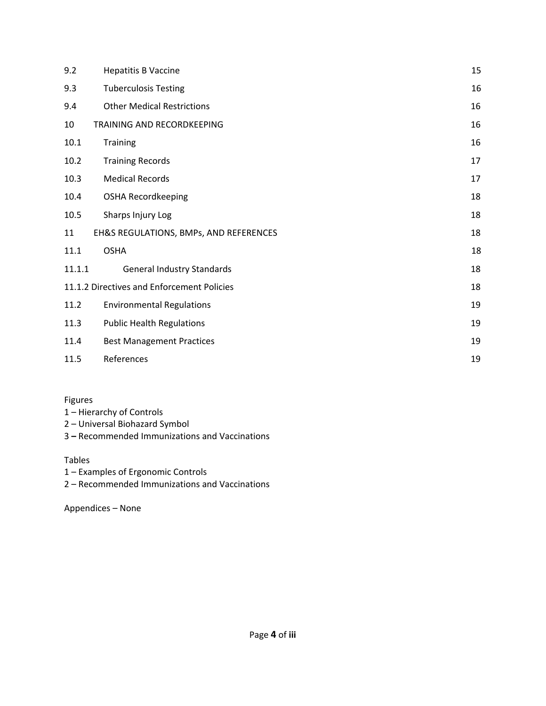| 9.2    | <b>Hepatitis B Vaccine</b>                 | 15 |
|--------|--------------------------------------------|----|
| 9.3    | <b>Tuberculosis Testing</b>                | 16 |
| 9.4    | <b>Other Medical Restrictions</b>          | 16 |
| 10     | TRAINING AND RECORDKEEPING                 | 16 |
| 10.1   | <b>Training</b>                            | 16 |
| 10.2   | <b>Training Records</b>                    | 17 |
| 10.3   | <b>Medical Records</b>                     | 17 |
| 10.4   | <b>OSHA Recordkeeping</b>                  | 18 |
| 10.5   | Sharps Injury Log                          | 18 |
| 11     | EH&S REGULATIONS, BMPs, AND REFERENCES     | 18 |
| 11.1   | <b>OSHA</b>                                | 18 |
| 11.1.1 | <b>General Industry Standards</b>          | 18 |
|        | 11.1.2 Directives and Enforcement Policies | 18 |
| 11.2   | <b>Environmental Regulations</b>           | 19 |
| 11.3   | <b>Public Health Regulations</b>           | 19 |
| 11.4   | <b>Best Management Practices</b>           | 19 |
| 11.5   | References                                 | 19 |

#### Figures

- 1 Hierarchy of Controls
- 2 Universal Biohazard Symbol
- 3 **–** Recommended Immunizations and Vaccinations

#### Tables

- 1 Examples of Ergonomic Controls
- 2 Recommended Immunizations and Vaccinations

Appendices – None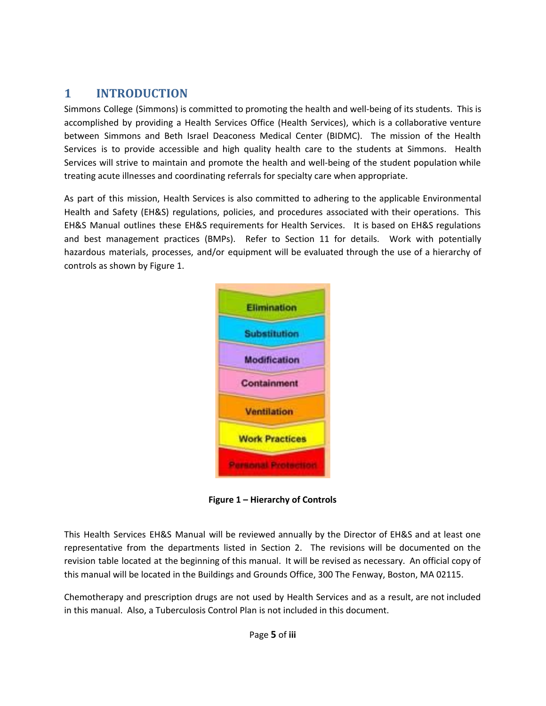# <span id="page-4-0"></span>**1 INTRODUCTION**

Simmons College (Simmons) is committed to promoting the health and well-being of its students. This is accomplished by providing a Health Services Office (Health Services), which is a collaborative venture between Simmons and Beth Israel Deaconess Medical Center (BIDMC). The mission of the Health Services is to provide accessible and high quality health care to the students at Simmons. Health Services will strive to maintain and promote the health and well-being of the student population while treating acute illnesses and coordinating referrals for specialty care when appropriate.

As part of this mission, Health Services is also committed to adhering to the applicable Environmental Health and Safety (EH&S) regulations, policies, and procedures associated with their operations. This EH&S Manual outlines these EH&S requirements for Health Services. It is based on EH&S regulations and best management practices (BMPs). Refer to Section 11 for details. Work with potentially hazardous materials, processes, and/or equipment will be evaluated through the use of a hierarchy of controls as shown by Figure 1.



**Figure 1 – Hierarchy of Controls**

This Health Services EH&S Manual will be reviewed annually by the Director of EH&S and at least one representative from the departments listed in Section 2. The revisions will be documented on the revision table located at the beginning of this manual. It will be revised as necessary. An official copy of this manual will be located in the Buildings and Grounds Office, 300 The Fenway, Boston, MA 02115.

Chemotherapy and prescription drugs are not used by Health Services and as a result, are not included in this manual. Also, a Tuberculosis Control Plan is not included in this document.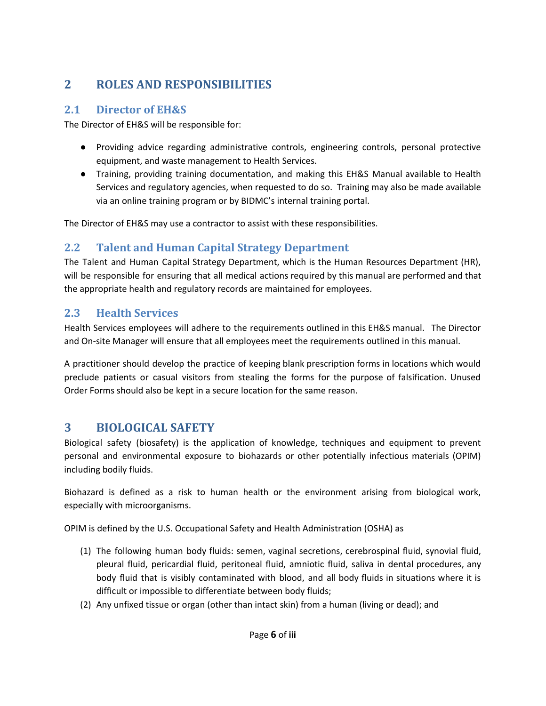# <span id="page-5-0"></span>**2 ROLES AND RESPONSIBILITIES**

### <span id="page-5-1"></span>**2.1 Director of EH&S**

The Director of EH&S will be responsible for:

- Providing advice regarding administrative controls, engineering controls, personal protective equipment, and waste management to Health Services.
- Training, providing training documentation, and making this EH&S Manual available to Health Services and regulatory agencies, when requested to do so. Training may also be made available via an online training program or by BIDMC's internal training portal.

The Director of EH&S may use a contractor to assist with these responsibilities.

# <span id="page-5-2"></span>**2.2 Talent and Human Capital Strategy Department**

The Talent and Human Capital Strategy Department, which is the Human Resources Department (HR), will be responsible for ensuring that all medical actions required by this manual are performed and that the appropriate health and regulatory records are maintained for employees.

# <span id="page-5-3"></span>**2.3 Health Services**

Health Services employees will adhere to the requirements outlined in this EH&S manual. The Director and On-site Manager will ensure that all employees meet the requirements outlined in this manual.

A practitioner should develop the practice of keeping blank prescription forms in locations which would preclude patients or casual visitors from stealing the forms for the purpose of falsification. Unused Order Forms should also be kept in a secure location for the same reason.

# <span id="page-5-4"></span>**3 BIOLOGICAL SAFETY**

Biological safety (biosafety) is the application of knowledge, techniques and equipment to prevent personal and environmental exposure to biohazards or other potentially infectious materials (OPIM) including bodily fluids.

Biohazard is defined as a risk to human health or the environment arising from biological work, especially with microorganisms.

OPIM is defined by the U.S. Occupational Safety and Health Administration (OSHA) as

- (1) The following human body fluids: semen, vaginal secretions, cerebrospinal fluid, synovial fluid, pleural fluid, pericardial fluid, peritoneal fluid, amniotic fluid, saliva in dental procedures, any body fluid that is visibly contaminated with blood, and all body fluids in situations where it is difficult or impossible to differentiate between body fluids;
- (2) Any unfixed tissue or organ (other than intact skin) from a human (living or dead); and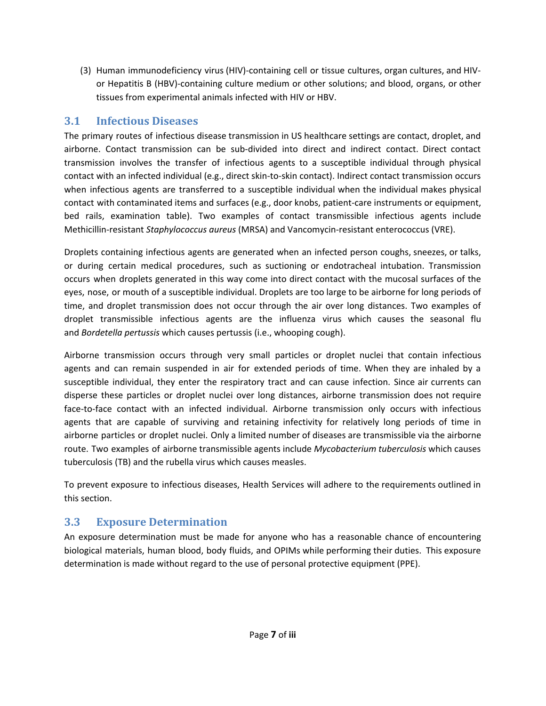(3) Human immunodeficiency virus (HIV)-containing cell or tissue cultures, organ cultures, and HIVor Hepatitis B (HBV)-containing culture medium or other solutions; and blood, organs, or other tissues from experimental animals infected with HIV or HBV.

### <span id="page-6-0"></span>**3.1 Infectious Diseases**

The primary routes of infectious disease transmission in US healthcare settings are contact, droplet, and airborne. Contact transmission can be sub-divided into direct and indirect contact. Direct contact transmission involves the transfer of infectious agents to a susceptible individual through physical contact with an infected individual (e.g., direct skin-to-skin contact). Indirect contact transmission occurs when infectious agents are transferred to a susceptible individual when the individual makes physical contact with contaminated items and surfaces (e.g., door knobs, patient-care instruments or equipment, bed rails, examination table). Two examples of contact transmissible infectious agents include Methicillin-resistant *Staphylococcus aureus* (MRSA) and Vancomycin-resistant enterococcus (VRE).

Droplets containing infectious agents are generated when an infected person coughs, sneezes, or talks, or during certain medical procedures, such as suctioning or endotracheal intubation. Transmission occurs when droplets generated in this way come into direct contact with the mucosal surfaces of the eyes, nose, or mouth of a susceptible individual. Droplets are too large to be airborne for long periods of time, and droplet transmission does not occur through the air over long distances. Two examples of droplet transmissible infectious agents are the influenza virus which causes the seasonal flu and *Bordetella pertussis* which causes pertussis (i.e., whooping cough).

Airborne transmission occurs through very small particles or droplet nuclei that contain infectious agents and can remain suspended in air for extended periods of time. When they are inhaled by a susceptible individual, they enter the respiratory tract and can cause infection. Since air currents can disperse these particles or droplet nuclei over long distances, airborne transmission does not require face-to-face contact with an infected individual. Airborne transmission only occurs with infectious agents that are capable of surviving and retaining infectivity for relatively long periods of time in airborne particles or droplet nuclei. Only a limited number of diseases are transmissible via the airborne route. Two examples of airborne transmissible agents include *Mycobacterium tuberculosis* which causes tuberculosis (TB) and the rubella virus which causes measles.

To prevent exposure to infectious diseases, Health Services will adhere to the requirements outlined in this section.

# <span id="page-6-1"></span>**3.3 Exposure Determination**

An exposure determination must be made for anyone who has a reasonable chance of encountering biological materials, human blood, body fluids, and OPIMs while performing their duties. This exposure determination is made without regard to the use of personal protective equipment (PPE).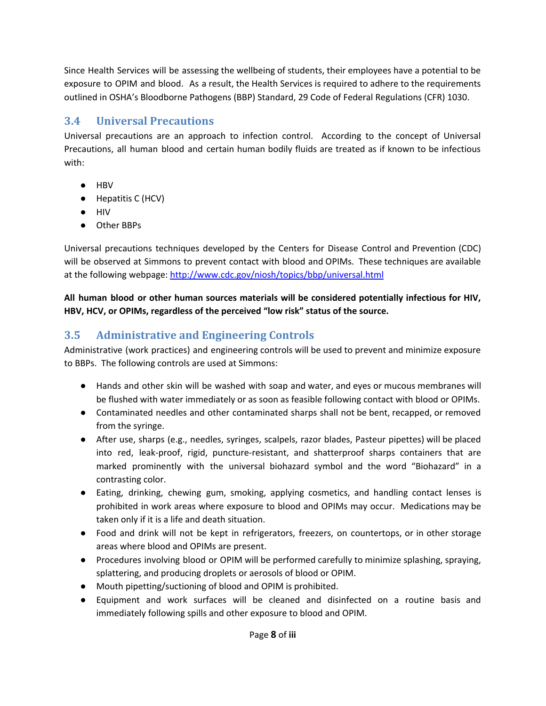Since Health Services will be assessing the wellbeing of students, their employees have a potential to be exposure to OPIM and blood. As a result, the Health Services is required to adhere to the requirements outlined in OSHA's Bloodborne Pathogens (BBP) Standard, 29 Code of Federal Regulations (CFR) 1030.

# <span id="page-7-0"></span>**3.4 Universal Precautions**

Universal precautions are an approach to infection control. According to the concept of Universal Precautions, all human blood and certain human bodily fluids are treated as if known to be infectious with:

- HBV
- Hepatitis C (HCV)
- HIV
- Other BBPs

Universal precautions techniques developed by the Centers for Disease Control and Prevention (CDC) will be observed at Simmons to prevent contact with blood and OPIMs. These techniques are available at the following webpage: <http://www.cdc.gov/niosh/topics/bbp/universal.html>

**All human blood or other human sources materials will be considered potentially infectious for HIV, HBV, HCV, or OPIMs, regardless of the perceived "low risk" status of the source.**

# <span id="page-7-1"></span>**3.5 Administrative and Engineering Controls**

Administrative (work practices) and engineering controls will be used to prevent and minimize exposure to BBPs. The following controls are used at Simmons:

- Hands and other skin will be washed with soap and water, and eyes or mucous membranes will be flushed with water immediately or as soon as feasible following contact with blood or OPIMs.
- Contaminated needles and other contaminated sharps shall not be bent, recapped, or removed from the syringe.
- After use, sharps (e.g., needles, syringes, scalpels, razor blades, Pasteur pipettes) will be placed into red, leak-proof, rigid, puncture-resistant, and shatterproof sharps containers that are marked prominently with the universal biohazard symbol and the word "Biohazard" in a contrasting color.
- Eating, drinking, chewing gum, smoking, applying cosmetics, and handling contact lenses is prohibited in work areas where exposure to blood and OPIMs may occur. Medications may be taken only if it is a life and death situation.
- Food and drink will not be kept in refrigerators, freezers, on countertops, or in other storage areas where blood and OPIMs are present.
- Procedures involving blood or OPIM will be performed carefully to minimize splashing, spraying, splattering, and producing droplets or aerosols of blood or OPIM.
- Mouth pipetting/suctioning of blood and OPIM is prohibited.
- Equipment and work surfaces will be cleaned and disinfected on a routine basis and immediately following spills and other exposure to blood and OPIM.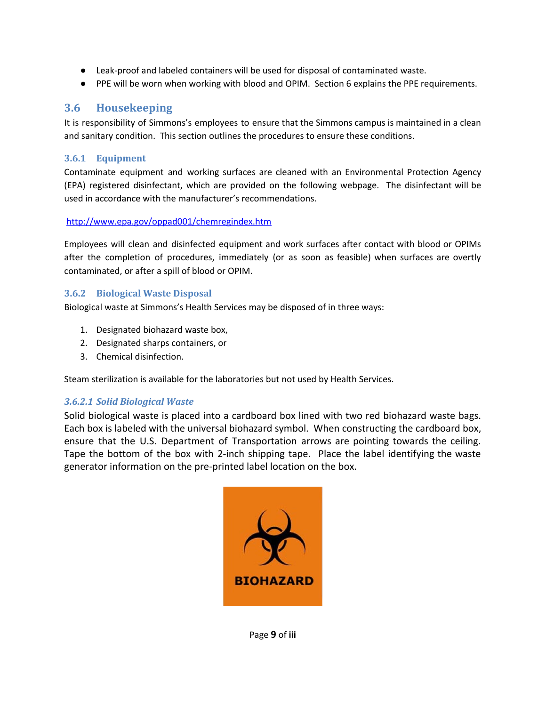- Leak-proof and labeled containers will be used for disposal of contaminated waste.
- PPE will be worn when working with blood and OPIM. Section 6 explains the PPE requirements.

#### <span id="page-8-0"></span>**3.6 Housekeeping**

It is responsibility of Simmons's employees to ensure that the Simmons campus is maintained in a clean and sanitary condition. This section outlines the procedures to ensure these conditions.

#### <span id="page-8-1"></span>**3.6.1 Equipment**

Contaminate equipment and working surfaces are cleaned with an Environmental Protection Agency (EPA) registered disinfectant, which are provided on the following webpage. The disinfectant will be used in accordance with the manufacturer's recommendations.

#### <http://www.epa.gov/oppad001/chemregindex.htm>

Employees will clean and disinfected equipment and work surfaces after contact with blood or OPIMs after the completion of procedures, immediately (or as soon as feasible) when surfaces are overtly contaminated, or after a spill of blood or OPIM.

#### <span id="page-8-2"></span>**3.6.2 Biological Waste Disposal**

Biological waste at Simmons's Health Services may be disposed of in three ways:

- 1. Designated biohazard waste box,
- 2. Designated sharps containers, or
- 3. Chemical disinfection.

Steam sterilization is available for the laboratories but not used by Health Services.

#### *3.6.2.1 Solid Biological Waste*

Solid biological waste is placed into a cardboard box lined with two red biohazard waste bags. Each box is labeled with the universal biohazard symbol. When constructing the cardboard box, ensure that the U.S. Department of Transportation arrows are pointing towards the ceiling. Tape the bottom of the box with 2-inch shipping tape. Place the label identifying the waste generator information on the pre-printed label location on the box.

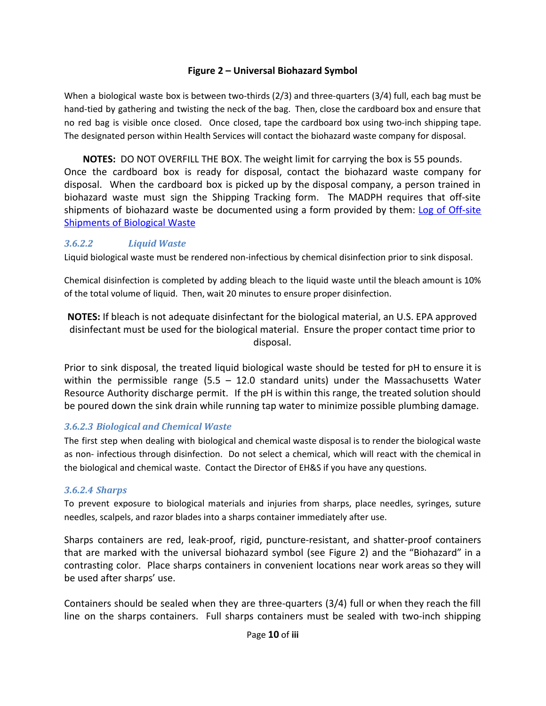#### **Figure 2 – Universal Biohazard Symbol**

When a biological waste box is between two-thirds (2/3) and three-quarters (3/4) full, each bag must be hand-tied by gathering and twisting the neck of the bag. Then, close the cardboard box and ensure that no red bag is visible once closed. Once closed, tape the cardboard box using two-inch shipping tape. The designated person within Health Services will contact the biohazard waste company for disposal.

**NOTES:** DO NOT OVERFILL THE BOX. The weight limit for carrying the box is 55 pounds. Once the cardboard box is ready for disposal, contact the biohazard waste company for disposal. When the cardboard box is picked up by the disposal company, a person trained in biohazard waste must sign the Shipping Tracking form. The MADPH requires that off-site shipments of biohazard waste be documented using a form provided by them: Log of [Off-site](http://www.mass.gov/eohhs/docs/dph/environmental/sanitation/105cmr480-medical-waste-off-site-log.pdf) [Shipments of Biological Waste](http://www.mass.gov/eohhs/docs/dph/environmental/sanitation/105cmr480-medical-waste-off-site-log.pdf)

#### *3.6.2.2 Liquid Waste*

Liquid biological waste must be rendered non-infectious by chemical disinfection prior to sink disposal.

Chemical disinfection is completed by adding bleach to the liquid waste until the bleach amount is 10% of the total volume of liquid. Then, wait 20 minutes to ensure proper disinfection.

**NOTES:** If bleach is not adequate disinfectant for the biological material, an U.S. EPA approved disinfectant must be used for the biological material. Ensure the proper contact time prior to disposal.

Prior to sink disposal, the treated liquid biological waste should be tested for pH to ensure it is within the permissible range  $(5.5 - 12.0$  standard units) under the Massachusetts Water Resource Authority discharge permit. If the pH is within this range, the treated solution should be poured down the sink drain while running tap water to minimize possible plumbing damage.

#### *3.6.2.3 Biological and Chemical Waste*

The first step when dealing with biological and chemical waste disposal is to render the biological waste as non- infectious through disinfection. Do not select a chemical, which will react with the chemical in the biological and chemical waste. Contact the Director of EH&S if you have any questions.

#### *3.6.2.4 Sharps*

To prevent exposure to biological materials and injuries from sharps, place needles, syringes, suture needles, scalpels, and razor blades into a sharps container immediately after use.

Sharps containers are red, leak-proof, rigid, puncture-resistant, and shatter-proof containers that are marked with the universal biohazard symbol (see Figure 2) and the "Biohazard" in a contrasting color. Place sharps containers in convenient locations near work areas so they will be used after sharps' use.

Containers should be sealed when they are three-quarters (3/4) full or when they reach the fill line on the sharps containers. Full sharps containers must be sealed with two-inch shipping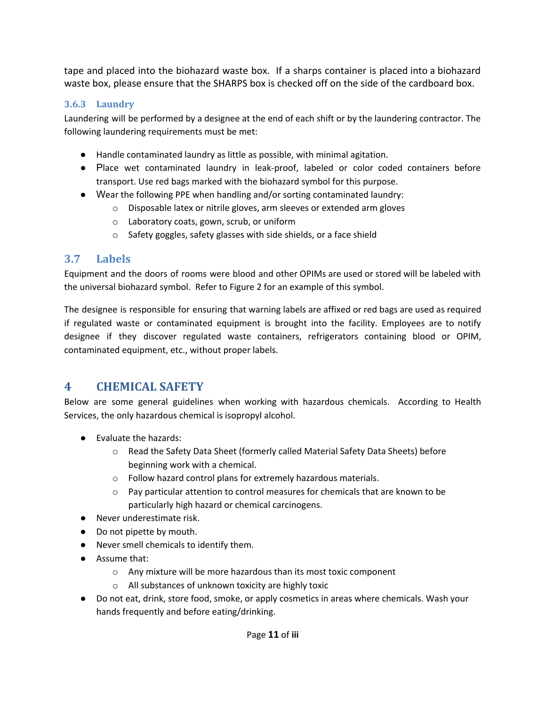tape and placed into the biohazard waste box. If a sharps container is placed into a biohazard waste box, please ensure that the SHARPS box is checked off on the side of the cardboard box.

#### <span id="page-10-0"></span>**3.6.3 Laundry**

Laundering will be performed by a designee at the end of each shift or by the laundering contractor. The following laundering requirements must be met:

- Handle contaminated laundry as little as possible, with minimal agitation.
- Place wet contaminated laundry in leak-proof, labeled or color coded containers before transport. Use red bags marked with the biohazard symbol for this purpose.
- Wear the following PPE when handling and/or sorting contaminated laundry:
	- o Disposable latex or nitrile gloves, arm sleeves or extended arm gloves
	- o Laboratory coats, gown, scrub, or uniform
	- o Safety goggles, safety glasses with side shields, or a face shield

### <span id="page-10-1"></span>**3.7 Labels**

Equipment and the doors of rooms were blood and other OPIMs are used or stored will be labeled with the universal biohazard symbol. Refer to Figure 2 for an example of this symbol.

The designee is responsible for ensuring that warning labels are affixed or red bags are used as required if regulated waste or contaminated equipment is brought into the facility. Employees are to notify designee if they discover regulated waste containers, refrigerators containing blood or OPIM, contaminated equipment, etc., without proper labels.

# <span id="page-10-2"></span>**4 CHEMICAL SAFETY**

Below are some general guidelines when working with hazardous chemicals. According to Health Services, the only hazardous chemical is isopropyl alcohol.

- Evaluate the hazards:
	- o Read the Safety Data Sheet (formerly called Material Safety Data Sheets) before beginning work with a chemical.
	- o Follow hazard control plans for extremely hazardous materials.
	- $\circ$  Pay particular attention to control measures for chemicals that are known to be particularly high hazard or chemical carcinogens.
- Never underestimate risk.
- Do not pipette by mouth.
- Never smell chemicals to identify them.
- Assume that:
	- o Any mixture will be more hazardous than its most toxic component
	- o All substances of unknown toxicity are highly toxic
- Do not eat, drink, store food, smoke, or apply cosmetics in areas where chemicals. Wash your hands frequently and before eating/drinking.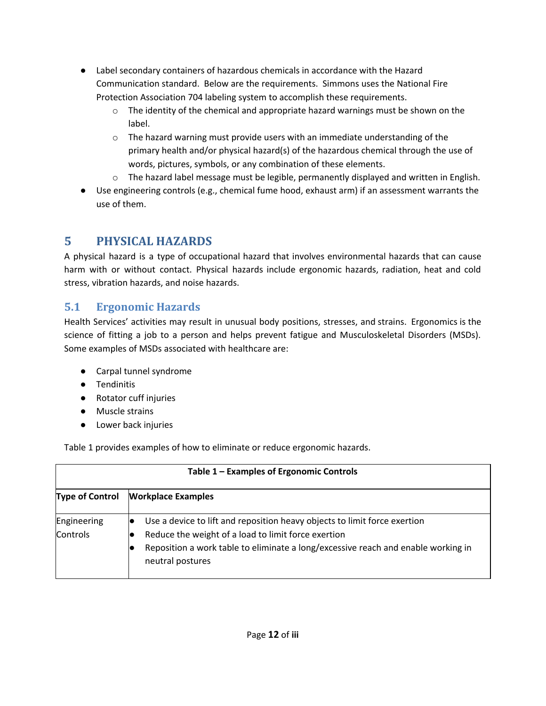- Label secondary containers of hazardous chemicals in accordance with the Hazard Communication standard. Below are the requirements. Simmons uses the National Fire Protection Association 704 labeling system to accomplish these requirements.
	- $\circ$  The identity of the chemical and appropriate hazard warnings must be shown on the label.
	- $\circ$  The hazard warning must provide users with an immediate understanding of the primary health and/or physical hazard(s) of the hazardous chemical through the use of words, pictures, symbols, or any combination of these elements.
	- $\circ$  The hazard label message must be legible, permanently displayed and written in English.
- Use engineering controls (e.g., chemical fume hood, exhaust arm) if an assessment warrants the use of them.

# <span id="page-11-0"></span>**5 PHYSICAL HAZARDS**

A physical hazard is a type of occupational hazard that involves environmental hazards that can cause harm with or without contact. Physical hazards include ergonomic hazards, radiation, heat and cold stress, vibration hazards, and noise hazards.

# <span id="page-11-1"></span>**5.1 Ergonomic Hazards**

Health Services' activities may result in unusual body positions, stresses, and strains. Ergonomics is the science of fitting a job to a person and helps prevent fatigue and Musculoskeletal Disorders (MSDs). Some examples of MSDs associated with healthcare are:

- Carpal tunnel syndrome
- Tendinitis
- Rotator cuff injuries
- Muscle strains
- Lower back injuries

Table 1 provides examples of how to eliminate or reduce ergonomic hazards.

| Table 1 – Examples of Ergonomic Controls |                                                                                                                                                                                                                                           |  |  |
|------------------------------------------|-------------------------------------------------------------------------------------------------------------------------------------------------------------------------------------------------------------------------------------------|--|--|
| <b>Type of Control</b>                   | <b>Workplace Examples</b>                                                                                                                                                                                                                 |  |  |
| Engineering<br>Controls                  | Use a device to lift and reposition heavy objects to limit force exertion<br>Reduce the weight of a load to limit force exertion<br>Reposition a work table to eliminate a long/excessive reach and enable working in<br>neutral postures |  |  |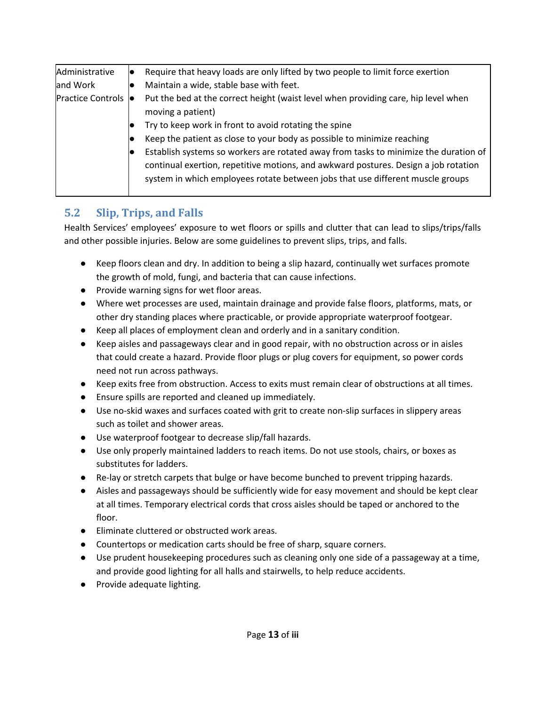| Administrative             | Require that heavy loads are only lifted by two people to limit force exertion       |
|----------------------------|--------------------------------------------------------------------------------------|
| and Work                   | Maintain a wide, stable base with feet.                                              |
| <b>Practice Controls</b> ● | Put the bed at the correct height (waist level when providing care, hip level when   |
|                            | moving a patient)                                                                    |
|                            | Try to keep work in front to avoid rotating the spine                                |
|                            | Keep the patient as close to your body as possible to minimize reaching              |
|                            | Establish systems so workers are rotated away from tasks to minimize the duration of |
|                            | continual exertion, repetitive motions, and awkward postures. Design a job rotation  |
|                            | system in which employees rotate between jobs that use different muscle groups       |
|                            |                                                                                      |

# <span id="page-12-0"></span>**5.2 Slip, Trips, and Falls**

Health Services' employees' exposure to wet floors or spills and clutter that can lead to slips/trips/falls and other possible injuries. Below are some guidelines to prevent slips, trips, and falls.

- Keep floors clean and dry. In addition to being a slip hazard, continually wet surfaces promote the growth of mold, fungi, and bacteria that can cause infections.
- Provide warning signs for wet floor areas.
- Where wet processes are used, maintain drainage and provide false floors, platforms, mats, or other dry standing places where practicable, or provide appropriate waterproof footgear.
- Keep all places of employment clean and orderly and in a sanitary condition.
- Keep aisles and passageways clear and in good repair, with no obstruction across or in aisles that could create a hazard. Provide floor plugs or plug covers for equipment, so power cords need not run across pathways.
- Keep exits free from obstruction. Access to exits must remain clear of obstructions at all times.
- Ensure spills are reported and cleaned up immediately.
- Use no-skid waxes and surfaces coated with grit to create non-slip surfaces in slippery areas such as toilet and shower areas.
- Use waterproof footgear to decrease slip/fall hazards.
- Use only properly maintained ladders to reach items. Do not use stools, chairs, or boxes as substitutes for ladders.
- Re-lay or stretch carpets that bulge or have become bunched to prevent tripping hazards.
- Aisles and passageways should be sufficiently wide for easy movement and should be kept clear at all times. Temporary electrical cords that cross aisles should be taped or anchored to the floor.
- Eliminate cluttered or obstructed work areas.
- Countertops or medication carts should be free of sharp, square corners.
- Use prudent housekeeping procedures such as cleaning only one side of a passageway at a time, and provide good lighting for all halls and stairwells, to help reduce accidents.
- Provide adequate lighting.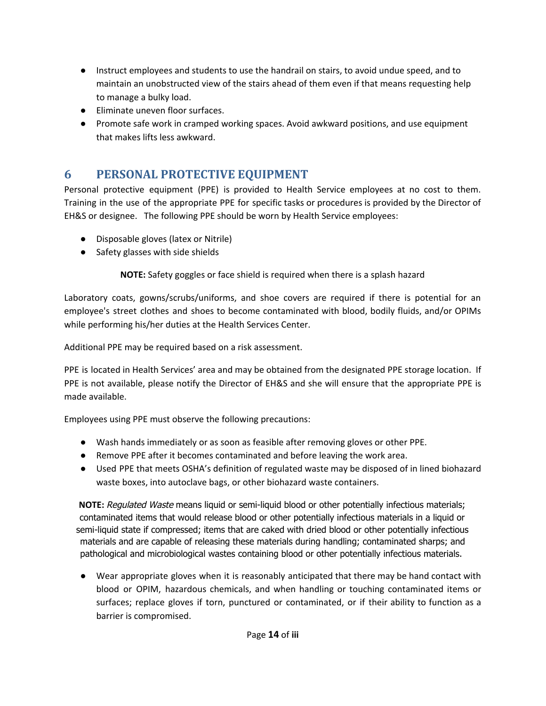- Instruct employees and students to use the handrail on stairs, to avoid undue speed, and to maintain an unobstructed view of the stairs ahead of them even if that means requesting help to manage a bulky load.
- Eliminate uneven floor surfaces.
- Promote safe work in cramped working spaces. Avoid awkward positions, and use equipment that makes lifts less awkward.

# <span id="page-13-0"></span>**6 PERSONAL PROTECTIVE EQUIPMENT**

Personal protective equipment (PPE) is provided to Health Service employees at no cost to them. Training in the use of the appropriate PPE for specific tasks or procedures is provided by the Director of EH&S or designee. The following PPE should be worn by Health Service employees:

- Disposable gloves (latex or Nitrile)
- Safety glasses with side shields

**NOTE:** Safety goggles or face shield is required when there is a splash hazard

Laboratory coats, gowns/scrubs/uniforms, and shoe covers are required if there is potential for an employee's street clothes and shoes to become contaminated with blood, bodily fluids, and/or OPIMs while performing his/her duties at the Health Services Center.

Additional PPE may be required based on a risk assessment.

PPE is located in Health Services' area and may be obtained from the designated PPE storage location. If PPE is not available, please notify the Director of EH&S and she will ensure that the appropriate PPE is made available.

Employees using PPE must observe the following precautions:

- Wash hands immediately or as soon as feasible after removing gloves or other PPE.
- Remove PPE after it becomes contaminated and before leaving the work area.
- Used PPE that meets OSHA's definition of regulated waste may be disposed of in lined biohazard waste boxes, into autoclave bags, or other biohazard waste containers.

**NOTE:** Regulated Waste means liquid or semi-liquid blood or other potentially infectious materials; contaminated items that would release blood or other potentially infectious materials in a liquid or semi-liquid state if compressed; items that are caked with dried blood or other potentially infectious materials and are capable of releasing these materials during handling; contaminated sharps; and pathological and microbiological wastes containing blood or other potentially infectious materials.

● Wear appropriate gloves when it is reasonably anticipated that there may be hand contact with blood or OPIM, hazardous chemicals, and when handling or touching contaminated items or surfaces; replace gloves if torn, punctured or contaminated, or if their ability to function as a barrier is compromised.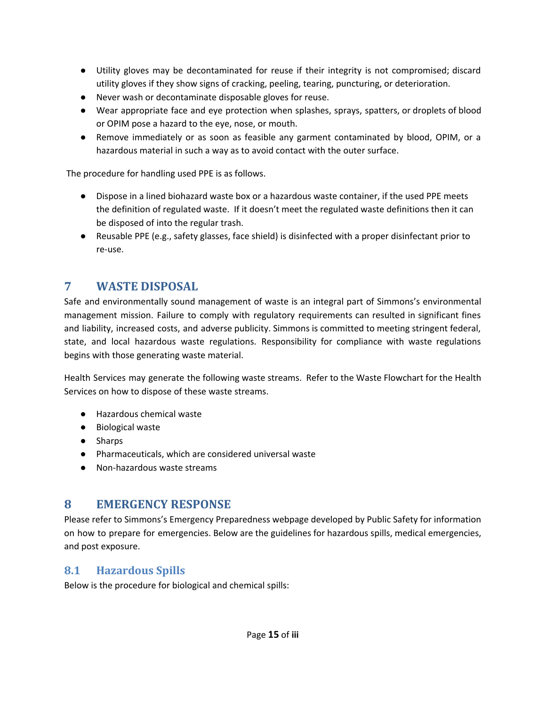- Utility gloves may be decontaminated for reuse if their integrity is not compromised; discard utility gloves if they show signs of cracking, peeling, tearing, puncturing, or deterioration.
- Never wash or decontaminate disposable gloves for reuse.
- Wear appropriate face and eye protection when splashes, sprays, spatters, or droplets of blood or OPIM pose a hazard to the eye, nose, or mouth.
- Remove immediately or as soon as feasible any garment contaminated by blood, OPIM, or a hazardous material in such a way as to avoid contact with the outer surface.

The procedure for handling used PPE is as follows.

- Dispose in a lined biohazard waste box or a hazardous waste container, if the used PPE meets the definition of regulated waste. If it doesn't meet the regulated waste definitions then it can be disposed of into the regular trash.
- Reusable PPE (e.g., safety glasses, face shield) is disinfected with a proper disinfectant prior to re-use.

# <span id="page-14-0"></span>**7 WASTE DISPOSAL**

Safe and environmentally sound management of waste is an integral part of Simmons's environmental management mission. Failure to comply with regulatory requirements can resulted in significant fines and liability, increased costs, and adverse publicity. Simmons is committed to meeting stringent federal, state, and local hazardous waste regulations. Responsibility for compliance with waste regulations begins with those generating waste material.

Health Services may generate the following waste streams. Refer to the Waste Flowchart for the Health Services on how to dispose of these waste streams.

- Hazardous chemical waste
- Biological waste
- Sharps
- Pharmaceuticals, which are considered universal waste
- Non-hazardous waste streams

# <span id="page-14-1"></span>**8 EMERGENCY RESPONSE**

Please refer to Simmons's Emergency Preparedness webpage developed by Public Safety for information on how to prepare for emergencies. Below are the guidelines for hazardous spills, medical emergencies, and post exposure.

# <span id="page-14-2"></span>**8.1 Hazardous Spills**

Below is the procedure for biological and chemical spills: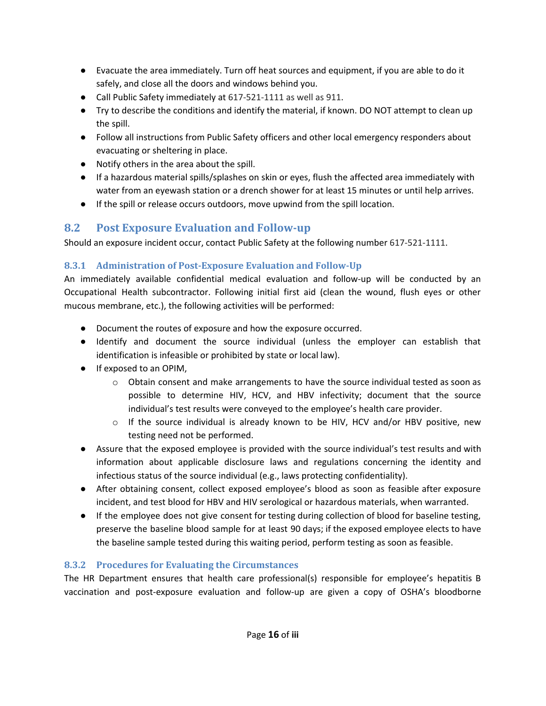- Evacuate the area immediately. Turn off heat sources and equipment, if you are able to do it safely, and close all the doors and windows behind you.
- Call Public Safety immediately at 617-521-1111 as well as 911.
- Try to describe the conditions and identify the material, if known. DO NOT attempt to clean up the spill.
- Follow all instructions from Public Safety officers and other local emergency responders about evacuating or sheltering in place.
- Notify others in the area about the spill.
- If a hazardous material spills/splashes on skin or eyes, flush the affected area immediately with water from an eyewash station or a drench shower for at least 15 minutes or until help arrives.
- If the spill or release occurs outdoors, move upwind from the spill location.

# <span id="page-15-0"></span>**8.2 Post Exposure Evaluation and Follow-up**

Should an exposure incident occur, contact Public Safety at the following number 617-521-1111.

### <span id="page-15-1"></span>**8.3.1 Administration of Post-Exposure Evaluation and Follow-Up**

An immediately available confidential medical evaluation and follow-up will be conducted by an Occupational Health subcontractor. Following initial first aid (clean the wound, flush eyes or other mucous membrane, etc.), the following activities will be performed:

- Document the routes of exposure and how the exposure occurred.
- Identify and document the source individual (unless the employer can establish that identification is infeasible or prohibited by state or local law).
- If exposed to an OPIM,
	- $\circ$  Obtain consent and make arrangements to have the source individual tested as soon as possible to determine HIV, HCV, and HBV infectivity; document that the source individual's test results were conveyed to the employee's health care provider.
	- $\circ$  If the source individual is already known to be HIV, HCV and/or HBV positive, new testing need not be performed.
- Assure that the exposed employee is provided with the source individual's test results and with information about applicable disclosure laws and regulations concerning the identity and infectious status of the source individual (e.g., laws protecting confidentiality).
- After obtaining consent, collect exposed employee's blood as soon as feasible after exposure incident, and test blood for HBV and HIV serological or hazardous materials, when warranted.
- If the employee does not give consent for testing during collection of blood for baseline testing, preserve the baseline blood sample for at least 90 days; if the exposed employee elects to have the baseline sample tested during this waiting period, perform testing as soon as feasible.

#### <span id="page-15-2"></span>**8.3.2 Procedures for Evaluating the Circumstances**

The HR Department ensures that health care professional(s) responsible for employee's hepatitis B vaccination and post-exposure evaluation and follow-up are given a copy of OSHA's bloodborne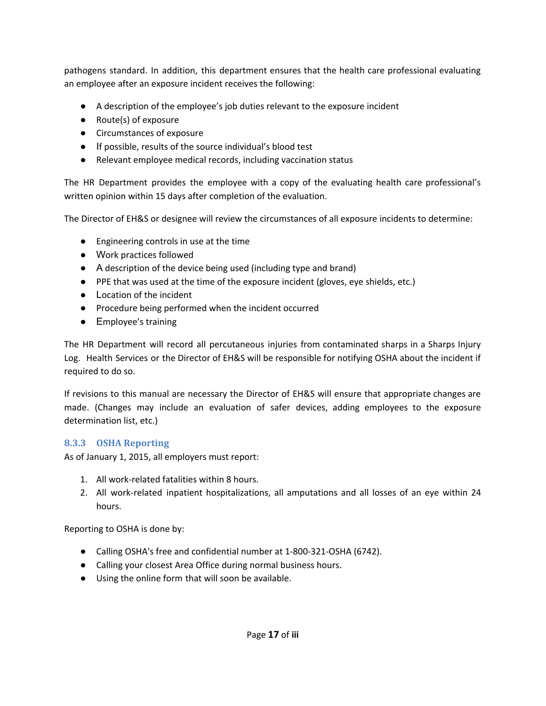pathogens standard. In addition, this department ensures that the health care professional evaluating an employee after an exposure incident receives the following:

- A description of the employee's job duties relevant to the exposure incident
- Route(s) of exposure
- Circumstances of exposure
- If possible, results of the source individual's blood test
- Relevant employee medical records, including vaccination status

The HR Department provides the employee with a copy of the evaluating health care professional's written opinion within 15 days after completion of the evaluation.

The Director of EH&S or designee will review the circumstances of all exposure incidents to determine:

- Engineering controls in use at the time
- Work practices followed
- A description of the device being used (including type and brand)
- PPE that was used at the time of the exposure incident (gloves, eye shields, etc.)
- Location of the incident
- Procedure being performed when the incident occurred
- Employee's training

The HR Department will record all percutaneous injuries from contaminated sharps in a Sharps Injury Log. Health Services or the Director of EH&S will be responsible for notifying OSHA about the incident if required to do so.

If revisions to this manual are necessary the Director of EH&S will ensure that appropriate changes are made. (Changes may include an evaluation of safer devices, adding employees to the exposure determination list, etc.)

#### <span id="page-16-0"></span>**8.3.3 OSHA Reporting**

As of January 1, 2015, all employers must report:

- 1. All work-related fatalities within 8 hours.
- 2. All work-related inpatient hospitalizations, all amputations and all losses of an eye within 24 hours.

Reporting to OSHA is done by:

- Calling OSHA's free and confidential number at 1-800-321-OSHA (6742).
- Calling your closest Area Office during normal business hours.
- Using the online form that will soon be available.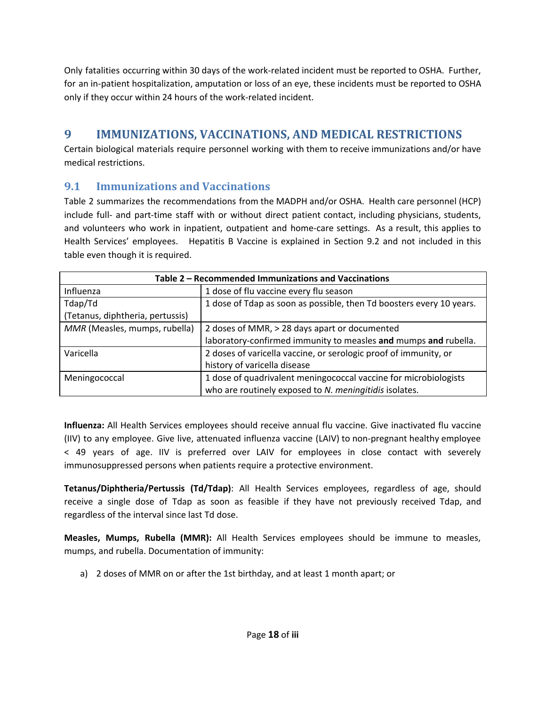Only fatalities occurring within 30 days of the work-related incident must be reported to OSHA. Further, for an in-patient hospitalization, amputation or loss of an eye, these incidents must be reported to OSHA only if they occur within 24 hours of the work-related incident.

# <span id="page-17-0"></span>**9 IMMUNIZATIONS, VACCINATIONS, AND MEDICAL RESTRICTIONS**

Certain biological materials require personnel working with them to receive immunizations and/or have medical restrictions.

## <span id="page-17-1"></span>**9.1 Immunizations and Vaccinations**

Table 2 summarizes the recommendations from the MADPH and/or OSHA. Health care personnel (HCP) include full- and part-time staff with or without direct patient contact, including physicians, students, and volunteers who work in inpatient, outpatient and home-care settings. As a result, this applies to Health Services' employees. Hepatitis B Vaccine is explained in Section 9.2 and not included in this table even though it is required.

| Table 2 - Recommended Immunizations and Vaccinations |                                                                      |  |
|------------------------------------------------------|----------------------------------------------------------------------|--|
| Influenza                                            | 1 dose of flu vaccine every flu season                               |  |
| Tdap/Td                                              | 1 dose of Tdap as soon as possible, then Td boosters every 10 years. |  |
| (Tetanus, diphtheria, pertussis)                     |                                                                      |  |
| MMR (Measles, mumps, rubella)                        | 2 doses of MMR, > 28 days apart or documented                        |  |
|                                                      | laboratory-confirmed immunity to measles and mumps and rubella.      |  |
| Varicella                                            | 2 doses of varicella vaccine, or serologic proof of immunity, or     |  |
|                                                      | history of varicella disease                                         |  |
| Meningococcal                                        | 1 dose of quadrivalent meningococcal vaccine for microbiologists     |  |
|                                                      | who are routinely exposed to N. meningitidis isolates.               |  |

**Influenza:** All Health Services employees should receive annual flu vaccine. Give inactivated flu vaccine (IIV) to any employee. Give live, attenuated influenza vaccine (LAIV) to non-pregnant healthy employee < 49 years of age. IIV is preferred over LAIV for employees in close contact with severely immunosuppressed persons when patients require a protective environment.

**Tetanus/Diphtheria/Pertussis (Td/Tdap)**: All Health Services employees, regardless of age, should receive a single dose of Tdap as soon as feasible if they have not previously received Tdap, and regardless of the interval since last Td dose.

**Measles, Mumps, Rubella (MMR):** All Health Services employees should be immune to measles, mumps, and rubella. Documentation of immunity:

a) 2 doses of MMR on or after the 1st birthday, and at least 1 month apart; or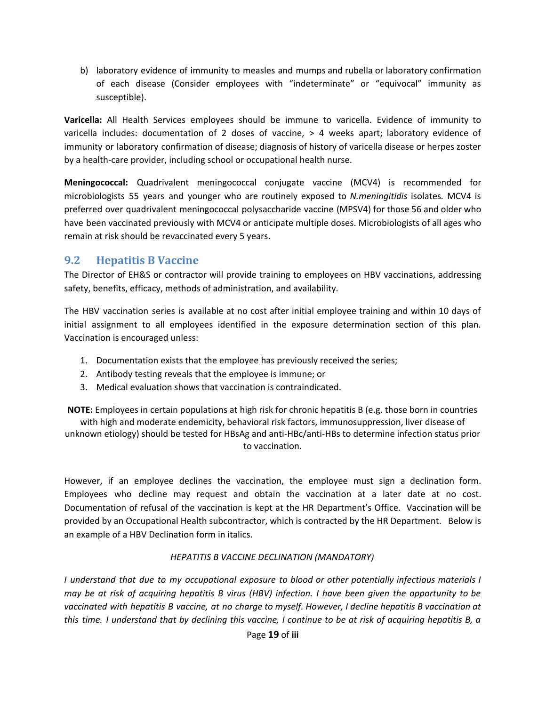b) laboratory evidence of immunity to measles and mumps and rubella or laboratory confirmation of each disease (Consider employees with "indeterminate" or "equivocal" immunity as susceptible).

**Varicella:** All Health Services employees should be immune to varicella. Evidence of immunity to varicella includes: documentation of 2 doses of vaccine, > 4 weeks apart; laboratory evidence of immunity or laboratory confirmation of disease; diagnosis of history of varicella disease or herpes zoster by a health-care provider, including school or occupational health nurse.

**Meningococcal:** Quadrivalent meningococcal conjugate vaccine (MCV4) is recommended for microbiologists 55 years and younger who are routinely exposed to *N.meningitidis* isolates*.* MCV4 is preferred over quadrivalent meningococcal polysaccharide vaccine (MPSV4) for those 56 and older who have been vaccinated previously with MCV4 or anticipate multiple doses. Microbiologists of all ages who remain at risk should be revaccinated every 5 years.

#### <span id="page-18-0"></span>**9.2 Hepatitis B Vaccine**

The Director of EH&S or contractor will provide training to employees on HBV vaccinations, addressing safety, benefits, efficacy, methods of administration, and availability.

The HBV vaccination series is available at no cost after initial employee training and within 10 days of initial assignment to all employees identified in the exposure determination section of this plan. Vaccination is encouraged unless:

- 1. Documentation exists that the employee has previously received the series;
- 2. Antibody testing reveals that the employee is immune; or
- 3. Medical evaluation shows that vaccination is contraindicated.

**NOTE:** Employees in certain populations at high risk for chronic hepatitis B (e.g. those born in countries

with high and moderate endemicity, behavioral risk factors, immunosuppression, liver disease of unknown etiology) should be tested for HBsAg and anti-HBc/anti-HBs to determine infection status prior to vaccination.

However, if an employee declines the vaccination, the employee must sign a declination form. Employees who decline may request and obtain the vaccination at a later date at no cost. Documentation of refusal of the vaccination is kept at the HR Department's Office. Vaccination will be provided by an Occupational Health subcontractor, which is contracted by the HR Department. Below is an example of a HBV Declination form in italics.

#### *HEPATITIS B VACCINE DECLINATION (MANDATORY)*

*I understand that due to my occupational exposure to blood or other potentially infectious materials I* may be at risk of acquiring hepatitis B virus (HBV) infection. I have been given the opportunity to be vaccinated with hepatitis B vaccine, at no charge to myself. However, I decline hepatitis B vaccination at this time. I understand that by declining this vaccine, I continue to be at risk of acquiring hepatitis B, a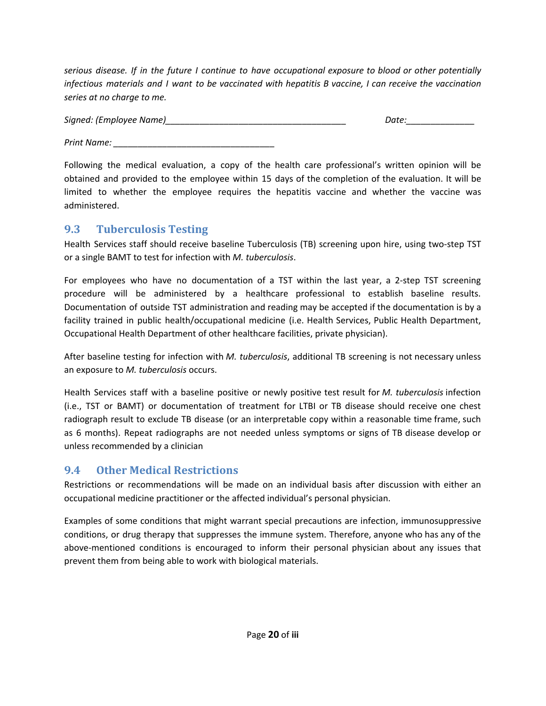*serious disease. If in the future I continue to have occupational exposure to blood or other potentially infectious materials and I want to be vaccinated with hepatitis B vaccine, I can receive the vaccination series at no charge to me.*

| Signed: (Employee Name) | Date. |
|-------------------------|-------|
|                         |       |

*Print Name: \_\_\_\_\_\_\_\_\_\_\_\_\_\_\_\_\_\_\_\_\_\_\_\_\_\_\_\_\_\_\_\_\_*

Following the medical evaluation, a copy of the health care professional's written opinion will be obtained and provided to the employee within 15 days of the completion of the evaluation. It will be limited to whether the employee requires the hepatitis vaccine and whether the vaccine was administered.

### <span id="page-19-0"></span>**9.3 Tuberculosis Testing**

Health Services staff should receive baseline Tuberculosis (TB) screening upon hire, using two-step TST or a single BAMT to test for infection with *M. tuberculosis*.

For employees who have no documentation of a TST within the last year, a 2-step TST screening procedure will be administered by a healthcare professional to establish baseline results. Documentation of outside TST administration and reading may be accepted if the documentation is by a facility trained in public health/occupational medicine (i.e. Health Services, Public Health Department, Occupational Health Department of other healthcare facilities, private physician).

After baseline testing for infection with *M. tuberculosis*, additional TB screening is not necessary unless an exposure to *M. tuberculosis* occurs.

Health Services staff with a baseline positive or newly positive test result for *M. tuberculosis* infection (i.e., TST or BAMT) or documentation of treatment for LTBI or TB disease should receive one chest radiograph result to exclude TB disease (or an interpretable copy within a reasonable time frame, such as 6 months). Repeat radiographs are not needed unless symptoms or signs of TB disease develop or unless recommended by a clinician

#### <span id="page-19-1"></span>**9.4 Other Medical Restrictions**

Restrictions or recommendations will be made on an individual basis after discussion with either an occupational medicine practitioner or the affected individual's personal physician.

Examples of some conditions that might warrant special precautions are infection, immunosuppressive conditions, or drug therapy that suppresses the immune system. Therefore, anyone who has any of the above-mentioned conditions is encouraged to inform their personal physician about any issues that prevent them from being able to work with biological materials.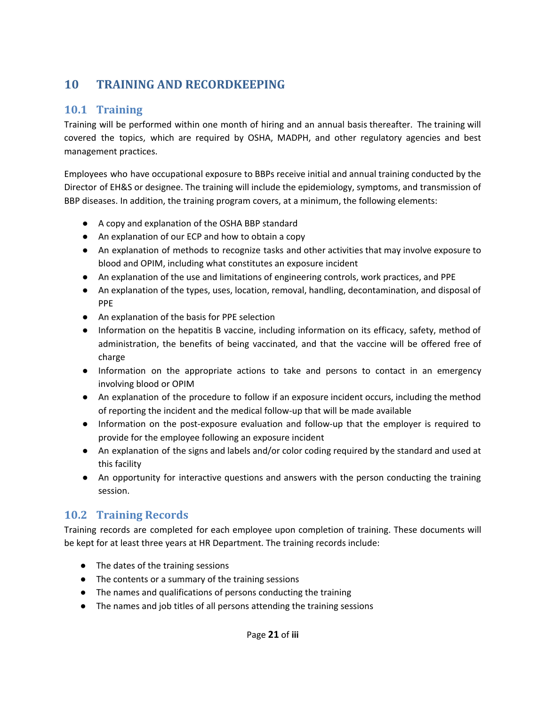# <span id="page-20-0"></span>**10 TRAINING AND RECORDKEEPING**

## <span id="page-20-1"></span>**10.1 Training**

Training will be performed within one month of hiring and an annual basis thereafter. The training will covered the topics, which are required by OSHA, MADPH, and other regulatory agencies and best management practices.

Employees who have occupational exposure to BBPs receive initial and annual training conducted by the Director of EH&S or designee. The training will include the epidemiology, symptoms, and transmission of BBP diseases. In addition, the training program covers, at a minimum, the following elements:

- A copy and explanation of the OSHA BBP standard
- An explanation of our ECP and how to obtain a copy
- An explanation of methods to recognize tasks and other activities that may involve exposure to blood and OPIM, including what constitutes an exposure incident
- An explanation of the use and limitations of engineering controls, work practices, and PPE
- An explanation of the types, uses, location, removal, handling, decontamination, and disposal of PPE
- An explanation of the basis for PPE selection
- Information on the hepatitis B vaccine, including information on its efficacy, safety, method of administration, the benefits of being vaccinated, and that the vaccine will be offered free of charge
- Information on the appropriate actions to take and persons to contact in an emergency involving blood or OPIM
- An explanation of the procedure to follow if an exposure incident occurs, including the method of reporting the incident and the medical follow-up that will be made available
- Information on the post-exposure evaluation and follow-up that the employer is required to provide for the employee following an exposure incident
- An explanation of the signs and labels and/or color coding required by the standard and used at this facility
- An opportunity for interactive questions and answers with the person conducting the training session.

# <span id="page-20-2"></span>**10.2 Training Records**

Training records are completed for each employee upon completion of training. These documents will be kept for at least three years at HR Department. The training records include:

- The dates of the training sessions
- The contents or a summary of the training sessions
- The names and qualifications of persons conducting the training
- The names and job titles of all persons attending the training sessions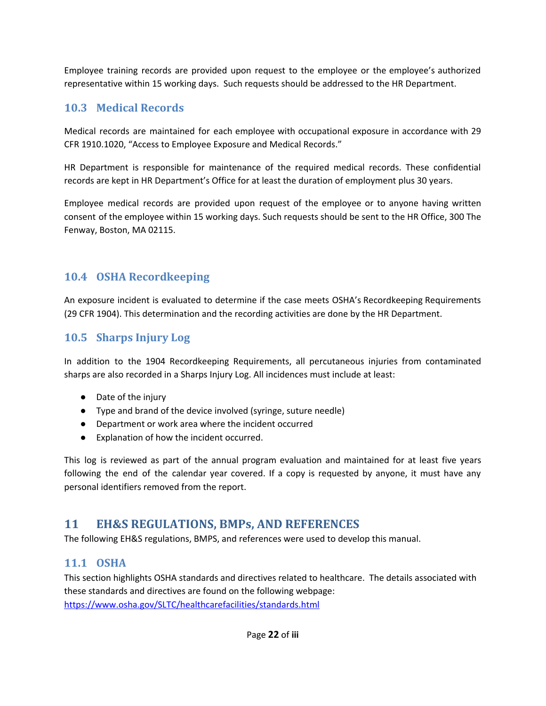Employee training records are provided upon request to the employee or the employee's authorized representative within 15 working days. Such requests should be addressed to the HR Department.

# <span id="page-21-0"></span>**10.3 Medical Records**

Medical records are maintained for each employee with occupational exposure in accordance with 29 CFR 1910.1020, "Access to Employee Exposure and Medical Records."

HR Department is responsible for maintenance of the required medical records. These confidential records are kept in HR Department's Office for at least the duration of employment plus 30 years.

Employee medical records are provided upon request of the employee or to anyone having written consent of the employee within 15 working days. Such requests should be sent to the HR Office, 300 The Fenway, Boston, MA 02115.

### <span id="page-21-1"></span>**10.4 OSHA Recordkeeping**

An exposure incident is evaluated to determine if the case meets OSHA's Recordkeeping Requirements (29 CFR 1904). This determination and the recording activities are done by the HR Department.

## <span id="page-21-2"></span>**10.5 Sharps Injury Log**

In addition to the 1904 Recordkeeping Requirements, all percutaneous injuries from contaminated sharps are also recorded in a Sharps Injury Log. All incidences must include at least:

- Date of the injury
- Type and brand of the device involved (syringe, suture needle)
- Department or work area where the incident occurred
- Explanation of how the incident occurred.

This log is reviewed as part of the annual program evaluation and maintained for at least five years following the end of the calendar year covered. If a copy is requested by anyone, it must have any personal identifiers removed from the report.

# <span id="page-21-3"></span>**11 EH&S REGULATIONS, BMPs, AND REFERENCES**

The following EH&S regulations, BMPS, and references were used to develop this manual.

#### <span id="page-21-4"></span>**11.1 OSHA**

This section highlights OSHA standards and directives related to healthcare. The details associated with these standards and directives are found on the following webpage: <https://www.osha.gov/SLTC/healthcarefacilities/standards.html>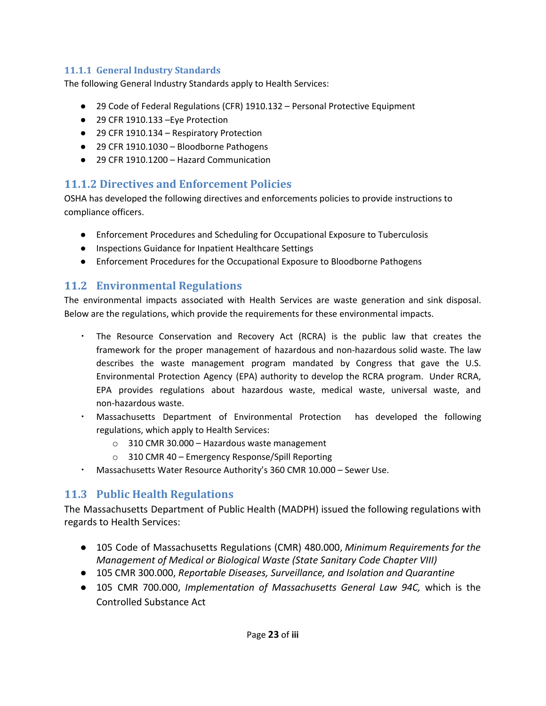#### <span id="page-22-0"></span>**11.1.1 General Industry Standards**

The following General Industry Standards apply to Health Services:

- 29 Code of Federal Regulations (CFR) 1910.132 Personal Protective Equipment
- 29 CFR 1910.133 –Eye Protection
- 29 CFR 1910.134 Respiratory Protection
- 29 CFR 1910.1030 Bloodborne Pathogens
- 29 CFR 1910.1200 Hazard Communication

### <span id="page-22-1"></span>**11.1.2 Directives and Enforcement Policies**

OSHA has developed the following directives and enforcements policies to provide instructions to compliance officers.

- Enforcement Procedures and Scheduling for Occupational Exposure to Tuberculosis
- Inspections Guidance for Inpatient Healthcare Settings
- Enforcement Procedures for the Occupational Exposure to Bloodborne Pathogens

## <span id="page-22-2"></span>**11.2 Environmental Regulations**

The environmental impacts associated with Health Services are waste generation and sink disposal. Below are the regulations, which provide the requirements for these environmental impacts.

- The Resource Conservation and Recovery Act (RCRA) is the public law that creates the framework for the proper management of hazardous and non-hazardous solid waste. The law describes the waste management program mandated by Congress that gave the U.S. Environmental Protection Agency (EPA) authority to develop the RCRA program. Under RCRA, EPA provides regulations about hazardous waste, medical waste, universal waste, and non-hazardous waste.
- Massachusetts Department of Environmental Protection has developed the following regulations, which apply to Health Services:
	- o 310 CMR 30.000 Hazardous waste management
	- o 310 CMR 40 Emergency Response/Spill Reporting
- Massachusetts Water Resource Authority's 360 CMR 10.000 Sewer Use.

## <span id="page-22-3"></span>**11.3 Public Health Regulations**

The Massachusetts Department of Public Health (MADPH) issued the following regulations with regards to Health Services:

- 105 Code of Massachusetts Regulations (CMR) 480.000, *Minimum Requirements for the Management of Medical or Biological Waste (State Sanitary Code Chapter VIII)*
- *●* 105 CMR 300.000, *Reportable Diseases, Surveillance, and Isolation and Quarantine*
- 105 CMR 700.000, *Implementation of Massachusetts General Law 94C,* which is the Controlled Substance Act